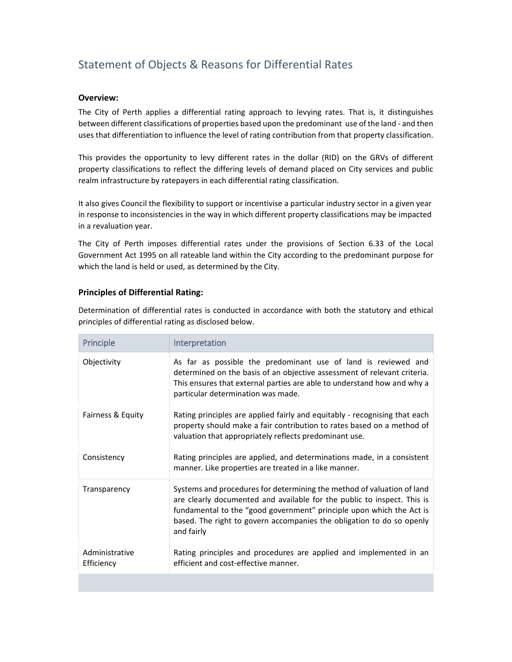# Statement of Objects & Reasons for Differential Rates

#### **Overview:**

The City of Perth applies a differential rating approach to levying rates. That is, it distinguishes between different classifications of properties based upon the predominant use of the land ‐ and then uses that differentiation to influence the level of rating contribution from that property classification.

This provides the opportunity to levy different rates in the dollar (RID) on the GRVs of different property classifications to reflect the differing levels of demand placed on City services and public realm infrastructure by ratepayers in each differential rating classification.

It also gives Council the flexibility to support or incentivise a particular industry sector in a given year in response to inconsistencies in the way in which different property classifications may be impacted in a revaluation year.

The City of Perth imposes differential rates under the provisions of Section 6.33 of the Local Government Act 1995 on all rateable land within the City according to the predominant purpose for which the land is held or used, as determined by the City.

## **Principles of Differential Rating:**

Determination of differential rates is conducted in accordance with both the statutory and ethical principles of differential rating as disclosed below.

| Principle                    | Interpretation                                                                                                                                                                                                                                                                                                   |
|------------------------------|------------------------------------------------------------------------------------------------------------------------------------------------------------------------------------------------------------------------------------------------------------------------------------------------------------------|
| Objectivity                  | As far as possible the predominant use of land is reviewed and<br>determined on the basis of an objective assessment of relevant criteria.<br>This ensures that external parties are able to understand how and why a<br>particular determination was made.                                                      |
| Fairness & Equity            | Rating principles are applied fairly and equitably - recognising that each<br>property should make a fair contribution to rates based on a method of<br>valuation that appropriately reflects predominant use.                                                                                                   |
| Consistency                  | Rating principles are applied, and determinations made, in a consistent<br>manner. Like properties are treated in a like manner.                                                                                                                                                                                 |
| Transparency                 | Systems and procedures for determining the method of valuation of land<br>are clearly documented and available for the public to inspect. This is<br>fundamental to the "good government" principle upon which the Act is<br>based. The right to govern accompanies the obligation to do so openly<br>and fairly |
| Administrative<br>Efficiency | Rating principles and procedures are applied and implemented in an<br>efficient and cost-effective manner.                                                                                                                                                                                                       |
|                              |                                                                                                                                                                                                                                                                                                                  |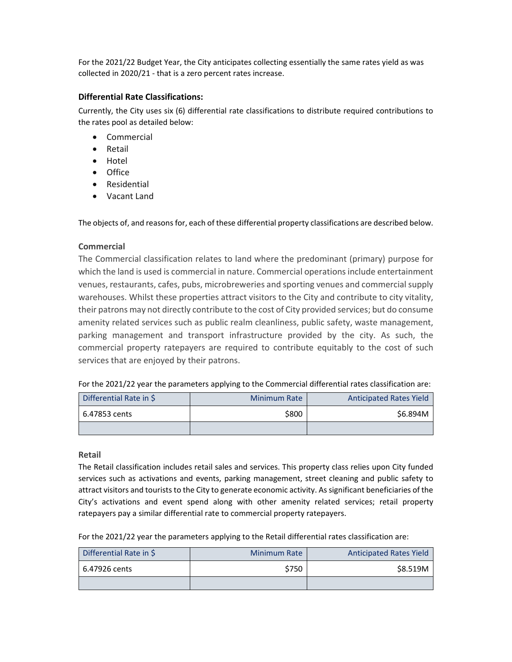For the 2021/22 Budget Year, the City anticipates collecting essentially the same rates yield as was collected in 2020/21 ‐ that is a zero percent rates increase.

#### **Differential Rate Classifications:**

Currently, the City uses six (6) differential rate classifications to distribute required contributions to the rates pool as detailed below:

- Commercial
- Retail
- Hotel
- Office
- Residential
- Vacant Land

The objects of, and reasons for, each of these differential property classifications are described below.

## **Commercial**

The Commercial classification relates to land where the predominant (primary) purpose for which the land is used is commercial in nature. Commercial operations include entertainment venues, restaurants, cafes, pubs, microbreweries and sporting venues and commercial supply warehouses. Whilst these properties attract visitors to the City and contribute to city vitality, their patrons may not directly contribute to the cost of City provided services; but do consume amenity related services such as public realm cleanliness, public safety, waste management, parking management and transport infrastructure provided by the city. As such, the commercial property ratepayers are required to contribute equitably to the cost of such services that are enjoyed by their patrons.

For the 2021/22 year the parameters applying to the Commercial differential rates classification are:

| Differential Rate in \$ | <b>Minimum Rate</b> | <b>Anticipated Rates Yield</b> |
|-------------------------|---------------------|--------------------------------|
| 6.47853 cents           | \$800               | \$6.894M                       |
|                         |                     |                                |

#### **Retail**

The Retail classification includes retail sales and services. This property class relies upon City funded services such as activations and events, parking management, street cleaning and public safety to attract visitors and tourists to the City to generate economic activity. As significant beneficiaries of the City's activations and event spend along with other amenity related services; retail property ratepayers pay a similar differential rate to commercial property ratepayers.

For the 2021/22 year the parameters applying to the Retail differential rates classification are:

| Differential Rate in \$ | <b>Minimum Rate</b> | <b>Anticipated Rates Yield</b> |
|-------------------------|---------------------|--------------------------------|
| l 6.47926 cents         | \$750               | \$8.519M                       |
|                         |                     |                                |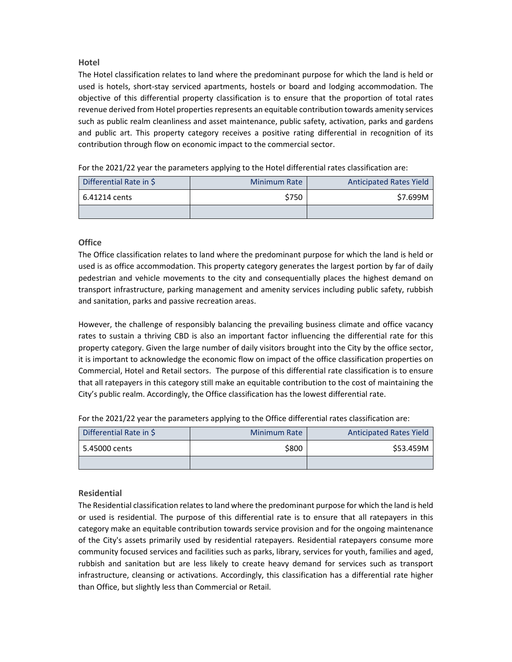## **Hotel**

The Hotel classification relates to land where the predominant purpose for which the land is held or used is hotels, short-stay serviced apartments, hostels or board and lodging accommodation. The objective of this differential property classification is to ensure that the proportion of total rates revenue derived from Hotel properties represents an equitable contribution towards amenity services such as public realm cleanliness and asset maintenance, public safety, activation, parks and gardens and public art. This property category receives a positive rating differential in recognition of its contribution through flow on economic impact to the commercial sector.

For the 2021/22 year the parameters applying to the Hotel differential rates classification are:

| Differential Rate in \$ | <b>Minimum Rate</b> | <b>Anticipated Rates Yield</b> |
|-------------------------|---------------------|--------------------------------|
| 6.41214 cents           | \$750               | S7.699M                        |
|                         |                     |                                |

## **Office**

The Office classification relates to land where the predominant purpose for which the land is held or used is as office accommodation. This property category generates the largest portion by far of daily pedestrian and vehicle movements to the city and consequentially places the highest demand on transport infrastructure, parking management and amenity services including public safety, rubbish and sanitation, parks and passive recreation areas.

However, the challenge of responsibly balancing the prevailing business climate and office vacancy rates to sustain a thriving CBD is also an important factor influencing the differential rate for this property category. Given the large number of daily visitors brought into the City by the office sector, it is important to acknowledge the economic flow on impact of the office classification properties on Commercial, Hotel and Retail sectors. The purpose of this differential rate classification is to ensure that all ratepayers in this category still make an equitable contribution to the cost of maintaining the City's public realm. Accordingly, the Office classification has the lowest differential rate.

| Differential Rate in \$ | <b>Minimum Rate</b> | <b>Anticipated Rates Yield</b> |
|-------------------------|---------------------|--------------------------------|
| 5.45000 cents           | \$800               | \$53.459M                      |
|                         |                     |                                |

## **Residential**

The Residential classification relates to land where the predominant purpose for which the land is held or used is residential. The purpose of this differential rate is to ensure that all ratepayers in this category make an equitable contribution towards service provision and for the ongoing maintenance of the City's assets primarily used by residential ratepayers. Residential ratepayers consume more community focused services and facilities such as parks, library, services for youth, families and aged, rubbish and sanitation but are less likely to create heavy demand for services such as transport infrastructure, cleansing or activations. Accordingly, this classification has a differential rate higher than Office, but slightly less than Commercial or Retail.